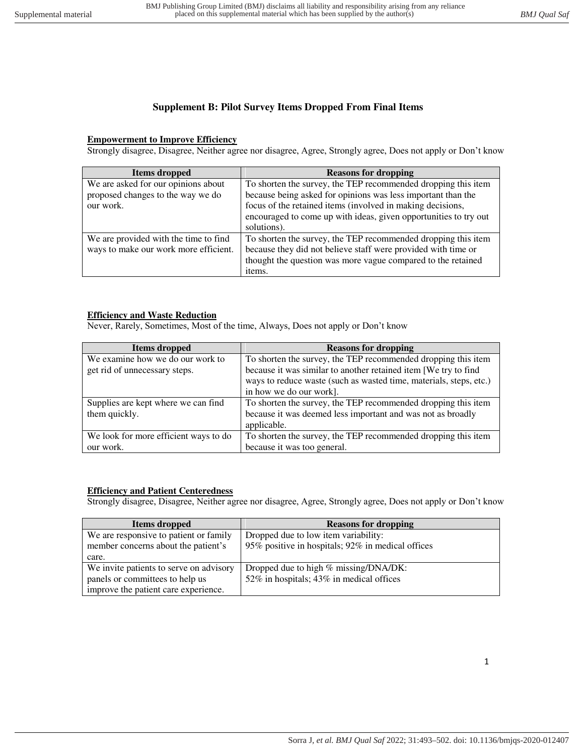# **Supplement B: Pilot Survey Items Dropped From Final Items**

### **Empowerment to Improve Efficiency**

Strongly disagree, Disagree, Neither agree nor disagree, Agree, Strongly agree, Does not apply or Don't know

| Items dropped                         | <b>Reasons for dropping</b>                                      |
|---------------------------------------|------------------------------------------------------------------|
| We are asked for our opinions about   | To shorten the survey, the TEP recommended dropping this item    |
| proposed changes to the way we do     | because being asked for opinions was less important than the     |
| our work.                             | focus of the retained items (involved in making decisions,       |
|                                       | encouraged to come up with ideas, given opportunities to try out |
|                                       | solutions).                                                      |
| We are provided with the time to find | To shorten the survey, the TEP recommended dropping this item    |
| ways to make our work more efficient. | because they did not believe staff were provided with time or    |
|                                       | thought the question was more vague compared to the retained     |
|                                       | items.                                                           |

### **Efficiency and Waste Reduction**

Never, Rarely, Sometimes, Most of the time, Always, Does not apply or Don't know

| Items dropped                         | <b>Reasons for dropping</b>                                        |
|---------------------------------------|--------------------------------------------------------------------|
| We examine how we do our work to      | To shorten the survey, the TEP recommended dropping this item      |
| get rid of unnecessary steps.         | because it was similar to another retained item [We try to find    |
|                                       | ways to reduce waste (such as wasted time, materials, steps, etc.) |
|                                       | in how we do our work].                                            |
| Supplies are kept where we can find   | To shorten the survey, the TEP recommended dropping this item      |
| them quickly.                         | because it was deemed less important and was not as broadly        |
|                                       | applicable.                                                        |
| We look for more efficient ways to do | To shorten the survey, the TEP recommended dropping this item      |
| our work.                             | because it was too general.                                        |

### **Efficiency and Patient Centeredness**

Strongly disagree, Disagree, Neither agree nor disagree, Agree, Strongly agree, Does not apply or Don't know

| Items dropped                           | <b>Reasons for dropping</b>                       |
|-----------------------------------------|---------------------------------------------------|
| We are responsive to patient or family  | Dropped due to low item variability:              |
| member concerns about the patient's     | 95% positive in hospitals; 92% in medical offices |
| care.                                   |                                                   |
| We invite patients to serve on advisory | Dropped due to high % missing/DNA/DK:             |
| panels or committees to help us         | 52% in hospitals; 43% in medical offices          |
| improve the patient care experience.    |                                                   |